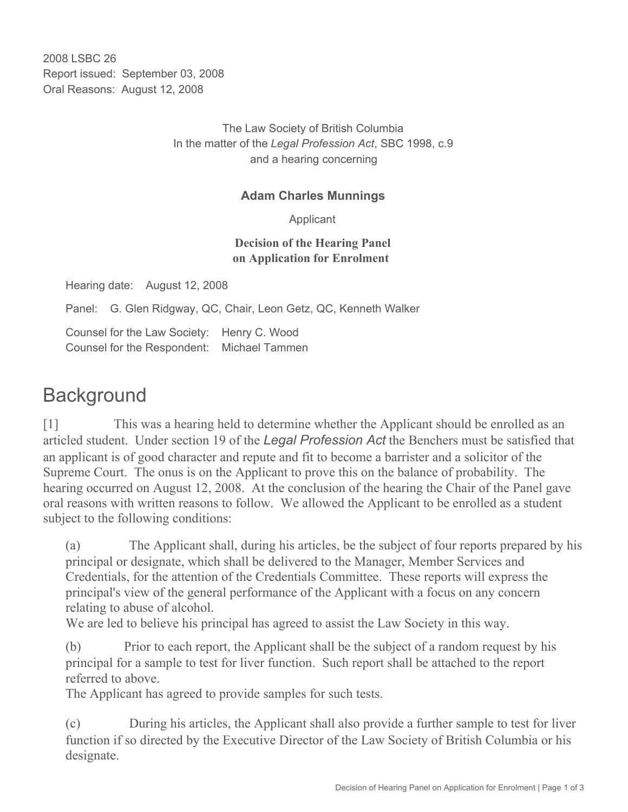2008 LSBC 26 Report issued: September 03, 2008 Oral Reasons: August 12, 2008

> The Law Society of British Columbia In the matter of the *Legal Profession Act*, SBC 1998, c.9 and a hearing concerning

## **Adam Charles Munnings**

Applicant

## **Decision of the Hearing Panel on Application for Enrolment**

Hearing date: August 12, 2008

Panel: G. Glen Ridgway, QC, Chair, Leon Getz, QC, Kenneth Walker

Counsel for the Law Society: Henry C. Wood Counsel for the Respondent: Michael Tammen

## **Background**

[1] This was a hearing held to determine whether the Applicant should be enrolled as an articled student. Under section 19 of the *Legal Profession Act* the Benchers must be satisfied that an applicant is of good character and repute and fit to become a barrister and a solicitor of the Supreme Court. The onus is on the Applicant to prove this on the balance of probability. The hearing occurred on August 12, 2008. At the conclusion of the hearing the Chair of the Panel gave oral reasons with written reasons to follow. We allowed the Applicant to be enrolled as a student subject to the following conditions:

(a) The Applicant shall, during his articles, be the subject of four reports prepared by his principal or designate, which shall be delivered to the Manager, Member Services and Credentials, for the attention of the Credentials Committee. These reports will express the principal's view of the general performance of the Applicant with a focus on any concern relating to abuse of alcohol.

We are led to believe his principal has agreed to assist the Law Society in this way.

(b) Prior to each report, the Applicant shall be the subject of a random request by his principal for a sample to test for liver function. Such report shall be attached to the report referred to above.

The Applicant has agreed to provide samples for such tests.

(c) During his articles, the Applicant shall also provide a further sample to test for liver function if so directed by the Executive Director of the Law Society of British Columbia or his designate.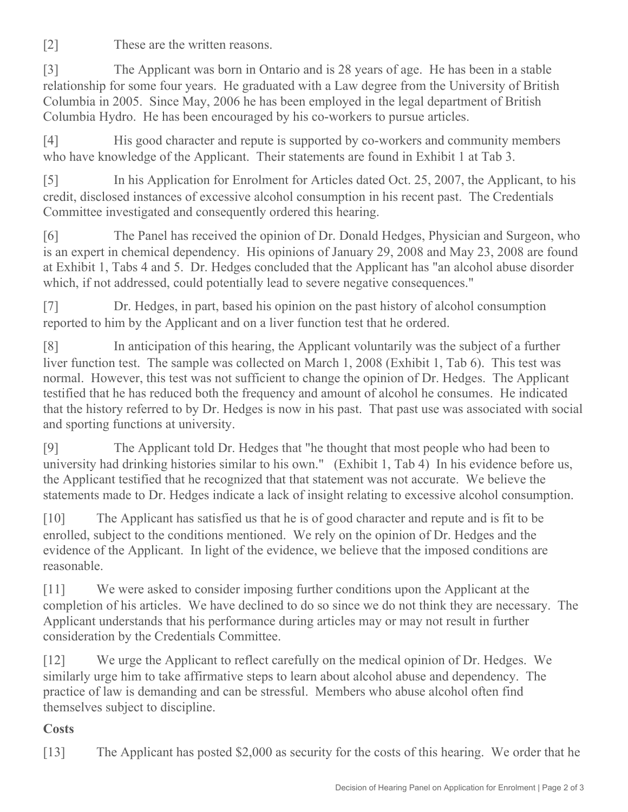[2] These are the written reasons.

[3] The Applicant was born in Ontario and is 28 years of age. He has been in a stable relationship for some four years. He graduated with a Law degree from the University of British Columbia in 2005. Since May, 2006 he has been employed in the legal department of British Columbia Hydro. He has been encouraged by his co-workers to pursue articles.

[4] His good character and repute is supported by co-workers and community members who have knowledge of the Applicant. Their statements are found in Exhibit 1 at Tab 3.

[5] In his Application for Enrolment for Articles dated Oct. 25, 2007, the Applicant, to his credit, disclosed instances of excessive alcohol consumption in his recent past. The Credentials Committee investigated and consequently ordered this hearing.

[6] The Panel has received the opinion of Dr. Donald Hedges, Physician and Surgeon, who is an expert in chemical dependency. His opinions of January 29, 2008 and May 23, 2008 are found at Exhibit 1, Tabs 4 and 5. Dr. Hedges concluded that the Applicant has "an alcohol abuse disorder which, if not addressed, could potentially lead to severe negative consequences."

[7] Dr. Hedges, in part, based his opinion on the past history of alcohol consumption reported to him by the Applicant and on a liver function test that he ordered.

[8] In anticipation of this hearing, the Applicant voluntarily was the subject of a further liver function test. The sample was collected on March 1, 2008 (Exhibit 1, Tab 6). This test was normal. However, this test was not sufficient to change the opinion of Dr. Hedges. The Applicant testified that he has reduced both the frequency and amount of alcohol he consumes. He indicated that the history referred to by Dr. Hedges is now in his past. That past use was associated with social and sporting functions at university.

[9] The Applicant told Dr. Hedges that "he thought that most people who had been to university had drinking histories similar to his own." (Exhibit 1, Tab 4) In his evidence before us, the Applicant testified that he recognized that that statement was not accurate. We believe the statements made to Dr. Hedges indicate a lack of insight relating to excessive alcohol consumption.

[10] The Applicant has satisfied us that he is of good character and repute and is fit to be enrolled, subject to the conditions mentioned. We rely on the opinion of Dr. Hedges and the evidence of the Applicant. In light of the evidence, we believe that the imposed conditions are reasonable.

[11] We were asked to consider imposing further conditions upon the Applicant at the completion of his articles. We have declined to do so since we do not think they are necessary. The Applicant understands that his performance during articles may or may not result in further consideration by the Credentials Committee.

[12] We urge the Applicant to reflect carefully on the medical opinion of Dr. Hedges. We similarly urge him to take affirmative steps to learn about alcohol abuse and dependency. The practice of law is demanding and can be stressful. Members who abuse alcohol often find themselves subject to discipline.

## **Costs**

[13] The Applicant has posted \$2,000 as security for the costs of this hearing. We order that he